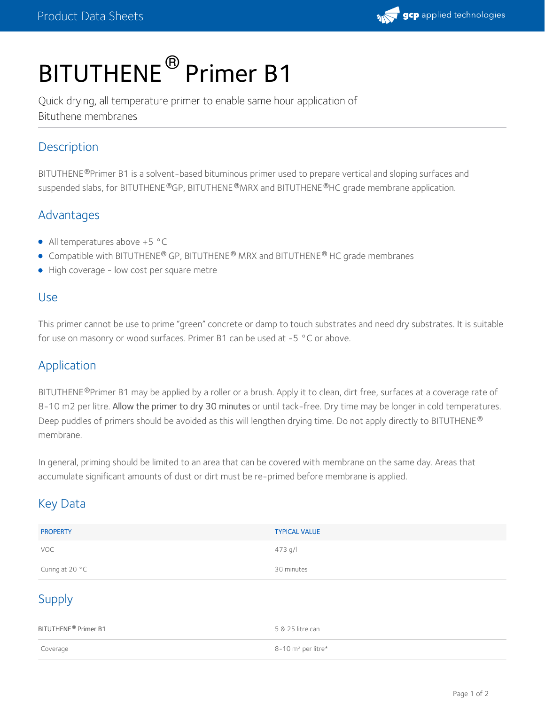

# BITUTHENE<sup>®</sup> Primer B1

Quick drying, all temperature primer to enable same hour application of Bituthene membranes

## **Description**

BITUTHENE®Primer B1 is a solvent-based bituminous primer used to prepare vertical and sloping surfaces and suspended slabs, for BITUTHENE®GP, BITUTHENE®MRX and BITUTHENE®HC grade membrane application.

# Advantages

- All temperatures above +5 °C
- Compatible with BITUTHENE® GP, BITUTHENE® MRX and BITUTHENE® HC grade membranes
- High coverage low cost per square metre

#### Use

This primer cannot be use to prime "green" concrete or damp to touch substrates and need dry substrates. It is suitable for use on masonry or wood surfaces. Primer B1 can be used at -5 °C or above.

#### Application

BITUTHENE®Primer B1 may be applied by a roller or a brush. Apply it to clean, dirt free, surfaces at a coverage rate of 8-10 m2 per litre. Allow the primer to dry 30 minutes or until tack-free. Dry time may be longer in cold temperatures. Deep puddles of primers should be avoided as this will lengthen drying time. Do not apply directly to BITUTHENE ® membrane.

In general, priming should be limited to an area that can be covered with membrane on the same day. Areas that accumulate significant amounts of dust or dirt must be re-primed before membrane is applied.

# Key Data

| <b>PROPERTY</b> | <b>TYPICAL VALUE</b> |
|-----------------|----------------------|
| VOC             | 473 g/l              |
| Curing at 20 °C | 30 minutes           |

# Supply

| BITUTHENE <sup>®</sup> Primer B1 | 5 & 25 litre can     |
|----------------------------------|----------------------|
| Coverage                         | 8-10 $m2$ per litre* |